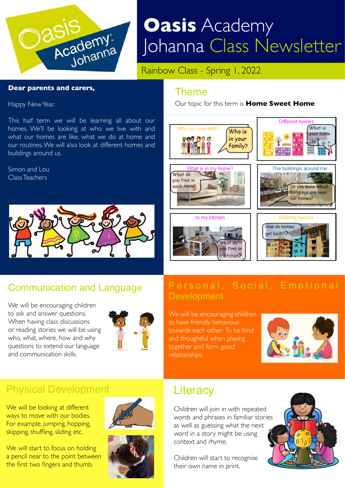

# **Oasis** Academy Johanna Class Newsletter

Rainbow Class - Spring 1, 2022

#### **Dear parents and carers,**

Happy New Year.

This half term we will be learning all about our homes. We'll be looking at who we live with and what our homes are like, what we do at home and our routines. We will also look at different homes and buildings around us.

Simon and Lou Class Teachers



## Communication and Language

We will be encouraging children to ask and answer questions. When having class discussions or reading stories we will be using who, what, where, how and why questions to extend our language and communication skills.



## Physical Development

We will be looking at different ways to move with our bodies. For example, jumping, hopping, skipping, shuffling, sliding etc.

We will start to focus on holding a pencil near to the point between the first two fingers and thumb.





#### Theme

[Our topic for this term is](http://www.apple.com/uk) **Home Sweet Home**



# **Development**

We will be encouraging children to have friendly behaviour towards each other. To be kind and thoughtful when playing together and form good relationships.



# **Literacy**

Children will join in with repeated words and phrases in familiar stories as well as guessing what the next word in a story might be using context and rhyme.

Children will start to recognise their own name in print.